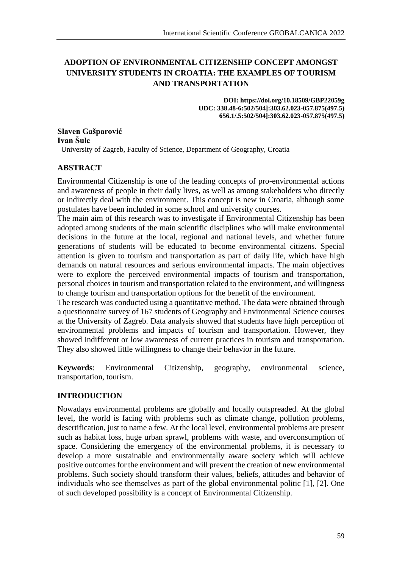# **ADOPTION OF ENVIRONMENTAL CITIZENSHIP CONCEPT AMONGST UNIVERSITY STUDENTS IN CROATIA: THE EXAMPLES OF TOURISM AND TRANSPORTATION**

**DOI: https://doi.org/10.18509/GBP22059g UDC: 338.48-6:502/504]:303.62.023-057.875(497.5) 656.1/.5:502/504]:303.62.023-057.875(497.5)**

**Slaven Gašparović Ivan Šulc** University of Zagreb, Faculty of Science, Department of Geography, Croatia

# **ABSTRACT**

Environmental Citizenship is one of the leading concepts of pro-environmental actions and awareness of people in their daily lives, as well as among stakeholders who directly or indirectly deal with the environment. This concept is new in Croatia, although some postulates have been included in some school and university courses.

The main aim of this research was to investigate if Environmental Citizenship has been adopted among students of the main scientific disciplines who will make environmental decisions in the future at the local, regional and national levels, and whether future generations of students will be educated to become environmental citizens. Special attention is given to tourism and transportation as part of daily life, which have high demands on natural resources and serious environmental impacts. The main objectives were to explore the perceived environmental impacts of tourism and transportation, personal choices in tourism and transportation related to the environment, and willingness to change tourism and transportation options for the benefit of the environment.

The research was conducted using a quantitative method. The data were obtained through a questionnaire survey of 167 students of Geography and Environmental Science courses at the University of Zagreb. Data analysis showed that students have high perception of environmental problems and impacts of tourism and transportation. However, they showed indifferent or low awareness of current practices in tourism and transportation. They also showed little willingness to change their behavior in the future.

**Keywords**: Environmental Citizenship, geography, environmental science, transportation, tourism.

# **INTRODUCTION**

Nowadays environmental problems are globally and locally outspreaded. At the global level, the world is facing with problems such as climate change, pollution problems, desertification, just to name a few. At the local level, environmental problems are present such as habitat loss, huge urban sprawl, problems with waste, and overconsumption of space. Considering the emergency of the environmental problems, it is necessary to develop a more sustainable and environmentally aware society which will achieve positive outcomes for the environment and will prevent the creation of new environmental problems. Such society should transform their values, beliefs, attitudes and behavior of individuals who see themselves as part of the global environmental politic [1], [2]. One of such developed possibility is a concept of Environmental Citizenship.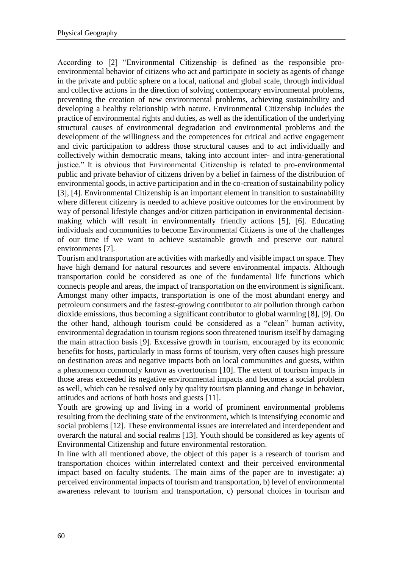According to [2] "Environmental Citizenship is defined as the responsible proenvironmental behavior of citizens who act and participate in society as agents of change in the private and public sphere on a local, national and global scale, through individual and collective actions in the direction of solving contemporary environmental problems, preventing the creation of new environmental problems, achieving sustainability and developing a healthy relationship with nature. Environmental Citizenship includes the practice of environmental rights and duties, as well as the identification of the underlying structural causes of environmental degradation and environmental problems and the development of the willingness and the competences for critical and active engagement and civic participation to address those structural causes and to act individually and collectively within democratic means, taking into account inter- and intra-generational justice." It is obvious that Environmental Citizenship is related to pro-environmental public and private behavior of citizens driven by a belief in fairness of the distribution of environmental goods, in active participation and in the co-creation of sustainability policy [3], [4]. Environmental Citizenship is an important element in transition to sustainability where different citizenry is needed to achieve positive outcomes for the environment by way of personal lifestyle changes and/or citizen participation in environmental decisionmaking which will result in environmentally friendly actions [5], [6]. Educating individuals and communities to become Environmental Citizens is one of the challenges of our time if we want to achieve sustainable growth and preserve our natural environments [7].

Tourism and transportation are activities with markedly and visible impact on space. They have high demand for natural resources and severe environmental impacts. Although transportation could be considered as one of the fundamental life functions which connects people and areas, the impact of transportation on the environment is significant. Amongst many other impacts, transportation is one of the most abundant energy and petroleum consumers and the fastest-growing contributor to air pollution through carbon dioxide emissions, thus becoming a significant contributor to global warming [8], [9]. On the other hand, although tourism could be considered as a "clean" human activity, environmental degradation in tourism regions soon threatened tourism itself by damaging the main attraction basis [9]. Excessive growth in tourism, encouraged by its economic benefits for hosts, particularly in mass forms of tourism, very often causes high pressure on destination areas and negative impacts both on local communities and guests, within a phenomenon commonly known as overtourism [10]. The extent of tourism impacts in those areas exceeded its negative environmental impacts and becomes a social problem as well, which can be resolved only by quality tourism planning and change in behavior, attitudes and actions of both hosts and guests [11].

Youth are growing up and living in a world of prominent environmental problems resulting from the declining state of the environment, which is intensifying economic and social problems [12]. These environmental issues are interrelated and interdependent and overarch the natural and social realms [13]. Youth should be considered as key agents of Environmental Citizenship and future environmental restoration.

In line with all mentioned above, the object of this paper is a research of tourism and transportation choices within interrelated context and their perceived environmental impact based on faculty students. The main aims of the paper are to investigate: a) perceived environmental impacts of tourism and transportation, b) level of environmental awareness relevant to tourism and transportation, c) personal choices in tourism and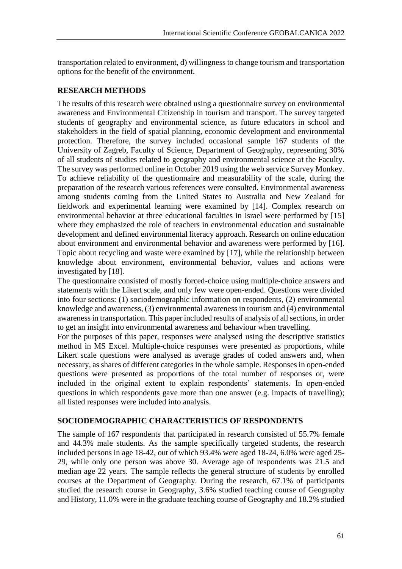transportation related to environment, d) willingness to change tourism and transportation options for the benefit of the environment.

# **RESEARCH METHODS**

The results of this research were obtained using a questionnaire survey on environmental awareness and Environmental Citizenship in tourism and transport. The survey targeted students of geography and environmental science, as future educators in school and stakeholders in the field of spatial planning, economic development and environmental protection. Therefore, the survey included occasional sample 167 students of the University of Zagreb, Faculty of Science, Department of Geography, representing 30% of all students of studies related to geography and environmental science at the Faculty. The survey was performed online in October 2019 using the web service Survey Monkey. To achieve reliability of the questionnaire and measurability of the scale, during the preparation of the research various references were consulted. Environmental awareness among students coming from the United States to Australia and New Zealand for fieldwork and experimental learning were examined by [14]. Complex research on environmental behavior at three educational faculties in Israel were performed by [15] where they emphasized the role of teachers in environmental education and sustainable development and defined environmental literacy approach. Research on online education about environment and environmental behavior and awareness were performed by [16]. Topic about recycling and waste were examined by [17], while the relationship between knowledge about environment, environmental behavior, values and actions were investigated by [18].

The questionnaire consisted of mostly forced-choice using multiple-choice answers and statements with the Likert scale, and only few were open-ended. Questions were divided into four sections: (1) sociodemographic information on respondents, (2) environmental knowledge and awareness, (3) environmental awareness in tourism and (4) environmental awareness in transportation. This paper included results of analysis of all sections, in order to get an insight into environmental awareness and behaviour when travelling.

For the purposes of this paper, responses were analysed using the descriptive statistics method in MS Excel. Multiple-choice responses were presented as proportions, while Likert scale questions were analysed as average grades of coded answers and, when necessary, as shares of different categories in the whole sample. Responses in open-ended questions were presented as proportions of the total number of responses or, were included in the original extent to explain respondents' statements. In open-ended questions in which respondents gave more than one answer (e.g. impacts of travelling); all listed responses were included into analysis.

# **SOCIODEMOGRAPHIC CHARACTERISTICS OF RESPONDENTS**

The sample of 167 respondents that participated in research consisted of 55.7% female and 44.3% male students. As the sample specifically targeted students, the research included persons in age 18-42, out of which 93.4% were aged 18-24, 6.0% were aged 25- 29, while only one person was above 30. Average age of respondents was 21.5 and median age 22 years. The sample reflects the general structure of students by enrolled courses at the Department of Geography. During the research, 67.1% of participants studied the research course in Geography, 3.6% studied teaching course of Geography and History, 11.0% were in the graduate teaching course of Geography and 18.2% studied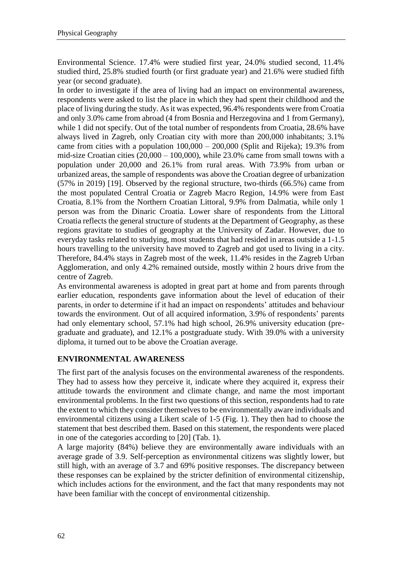Environmental Science. 17.4% were studied first year, 24.0% studied second, 11.4% studied third, 25.8% studied fourth (or first graduate year) and 21.6% were studied fifth year (or second graduate).

In order to investigate if the area of living had an impact on environmental awareness, respondents were asked to list the place in which they had spent their childhood and the place of living during the study. As it was expected, 96.4% respondents were from Croatia and only 3.0% came from abroad (4 from Bosnia and Herzegovina and 1 from Germany), while 1 did not specify. Out of the total number of respondents from Croatia, 28.6% have always lived in Zagreb, only Croatian city with more than 200,000 inhabitants; 3.1% came from cities with a population 100,000 – 200,000 (Split and Rijeka); 19.3% from mid-size Croatian cities (20,000 – 100,000), while 23.0% came from small towns with a population under 20,000 and 26.1% from rural areas. With 73.9% from urban or urbanized areas, the sample of respondents was above the Croatian degree of urbanization (57% in 2019) [19]. Observed by the regional structure, two-thirds (66.5%) came from the most populated Central Croatia or Zagreb Macro Region, 14.9% were from East Croatia, 8.1% from the Northern Croatian Littoral, 9.9% from Dalmatia, while only 1 person was from the Dinaric Croatia. Lower share of respondents from the Littoral Croatia reflects the general structure of students at the Department of Geography, as these regions gravitate to studies of geography at the University of Zadar. However, due to everyday tasks related to studying, most students that had resided in areas outside a 1-1.5 hours travelling to the university have moved to Zagreb and got used to living in a city. Therefore, 84.4% stays in Zagreb most of the week, 11.4% resides in the Zagreb Urban Agglomeration, and only 4.2% remained outside, mostly within 2 hours drive from the centre of Zagreb.

As environmental awareness is adopted in great part at home and from parents through earlier education, respondents gave information about the level of education of their parents, in order to determine if it had an impact on respondents' attitudes and behaviour towards the environment. Out of all acquired information, 3.9% of respondents' parents had only elementary school, 57.1% had high school, 26.9% university education (pregraduate and graduate), and 12.1% a postgraduate study. With 39.0% with a university diploma, it turned out to be above the Croatian average.

# **ENVIRONMENTAL AWARENESS**

The first part of the analysis focuses on the environmental awareness of the respondents. They had to assess how they perceive it, indicate where they acquired it, express their attitude towards the environment and climate change, and name the most important environmental problems. In the first two questions of this section, respondents had to rate the extent to which they consider themselves to be environmentally aware individuals and environmental citizens using a Likert scale of 1-5 (Fig. 1). They then had to choose the statement that best described them. Based on this statement, the respondents were placed in one of the categories according to [20] (Tab. 1).

A large majority (84%) believe they are environmentally aware individuals with an average grade of 3.9. Self-perception as environmental citizens was slightly lower, but still high, with an average of 3.7 and 69% positive responses. The discrepancy between these responses can be explained by the stricter definition of environmental citizenship, which includes actions for the environment, and the fact that many respondents may not have been familiar with the concept of environmental citizenship.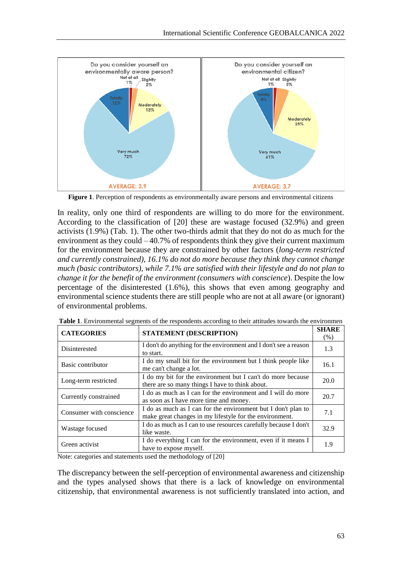

**Figure 1**. Perception of respondents as environmentally aware persons and environmental citizens

In reality, only one third of respondents are willing to do more for the environment. According to the classification of [20] these are wastage focused (32.9%) and green activists (1.9%) (Tab. 1). The other two-thirds admit that they do not do as much for the environment as they could  $-40.7\%$  of respondents think they give their current maximum for the environment because they are constrained by other factors (*long-term restricted and currently constrained), 16.1% do not do more because they think they cannot change much (basic contributors), while 7.1% are satisfied with their lifestyle and do not plan to change it for the benefit of the environment (consumers with conscience*). Despite the low percentage of the disinterested (1.6%), this shows that even among geography and environmental science students there are still people who are not at all aware (or ignorant) of environmental problems.

| <b>CATEGORIES</b>        | STATEMENT (DESCRIPTION)                                                                                                  | <b>SHARE</b><br>(% ) |
|--------------------------|--------------------------------------------------------------------------------------------------------------------------|----------------------|
| Disinterested            | I don't do anything for the environment and I don't see a reason<br>to start.                                            | 1.3                  |
| Basic contributor        | I do my small bit for the environment but I think people like<br>me can't change a lot.                                  | 16.1                 |
| Long-term restricted     | I do my bit for the environment but I can't do more because<br>there are so many things I have to think about.           | 20.0                 |
| Currently constrained    | I do as much as I can for the environment and I will do more<br>as soon as I have more time and money.                   | 20.7                 |
| Consumer with conscience | I do as much as I can for the environment but I don't plan to<br>make great changes in my lifestyle for the environment. | 7.1                  |
| Wastage focused          | I do as much as I can to use resources carefully because I don't<br>like waste.                                          | 32.9                 |
| Green activist           | I do everything I can for the environment, even if it means I<br>have to expose myself.                                  | 1.9                  |

**Table 1**. Environmental segments of the respondents according to their attitudes towards the environmen

Note: categories and statements used the methodology of [20]

The discrepancy between the self-perception of environmental awareness and citizenship and the types analysed shows that there is a lack of knowledge on environmental citizenship, that environmental awareness is not sufficiently translated into action, and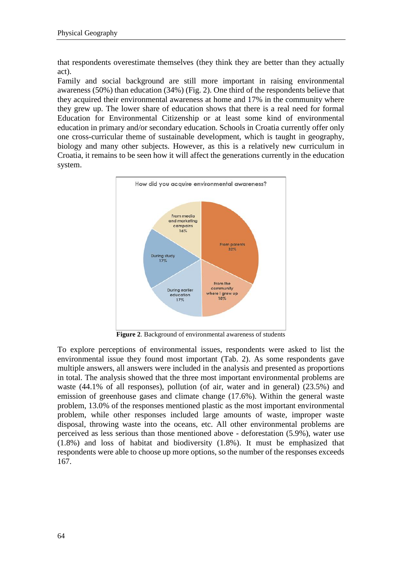that respondents overestimate themselves (they think they are better than they actually act).

Family and social background are still more important in raising environmental awareness (50%) than education (34%) (Fig. 2). One third of the respondents believe that they acquired their environmental awareness at home and 17% in the community where they grew up. The lower share of education shows that there is a real need for formal Education for Environmental Citizenship or at least some kind of environmental education in primary and/or secondary education. Schools in Croatia currently offer only one cross-curricular theme of sustainable development, which is taught in geography, biology and many other subjects. However, as this is a relatively new curriculum in Croatia, it remains to be seen how it will affect the generations currently in the education system.



**Figure 2**. Background of environmental awareness of students

To explore perceptions of environmental issues, respondents were asked to list the environmental issue they found most important (Tab. 2). As some respondents gave multiple answers, all answers were included in the analysis and presented as proportions in total. The analysis showed that the three most important environmental problems are waste (44.1% of all responses), pollution (of air, water and in general) (23.5%) and emission of greenhouse gases and climate change (17.6%). Within the general waste problem, 13.0% of the responses mentioned plastic as the most important environmental problem, while other responses included large amounts of waste, improper waste disposal, throwing waste into the oceans, etc. All other environmental problems are perceived as less serious than those mentioned above - deforestation (5.9%), water use (1.8%) and loss of habitat and biodiversity (1.8%). It must be emphasized that respondents were able to choose up more options, so the number of the responses exceeds 167.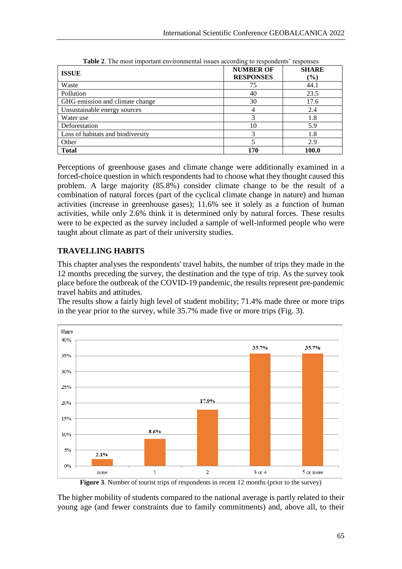| <b>ISSUE</b>                      | <b>NUMBER OF</b><br><b>RESPONSES</b> | <b>SHARE</b><br>$(\%)$ |
|-----------------------------------|--------------------------------------|------------------------|
| Waste                             | 75                                   | 44.1                   |
| Pollution                         | 40                                   | 23.5                   |
| GHG emission and climate change   | 30                                   | 17.6                   |
| Unsustainable energy sources      |                                      | 2.4                    |
| Water use                         |                                      | 1.8                    |
| Deforestation                     | 10                                   | 5.9                    |
| Loss of habitats and biodiversity |                                      | 1.8                    |
| Other                             |                                      | 2.9                    |
| <b>Total</b>                      | 170                                  | 100.0                  |

**Table 2**. The most important environmental issues according to respondents' responses

Perceptions of greenhouse gases and climate change were additionally examined in a forced-choice question in which respondents had to choose what they thought caused this problem. A large majority (85.8%) consider climate change to be the result of a combination of natural forces (part of the cyclical climate change in nature) and human activities (increase in greenhouse gases); 11.6% see it solely as a function of human activities, while only 2.6% think it is determined only by natural forces. These results were to be expected as the survey included a sample of well-informed people who were taught about climate as part of their university studies.

# **TRAVELLING HABITS**

This chapter analyses the respondents' travel habits, the number of trips they made in the 12 months preceding the survey, the destination and the type of trip. As the survey took place before the outbreak of the COVID-19 pandemic, the results represent pre-pandemic travel habits and attitudes.

The results show a fairly high level of student mobility; 71.4% made three or more trips in the year prior to the survey, while 35.7% made five or more trips (Fig. 3).



**Figure 3**. Number of tourist trips of respondents in recent 12 months (prior to the survey)

The higher mobility of students compared to the national average is partly related to their young age (and fewer constraints due to family commitments) and, above all, to their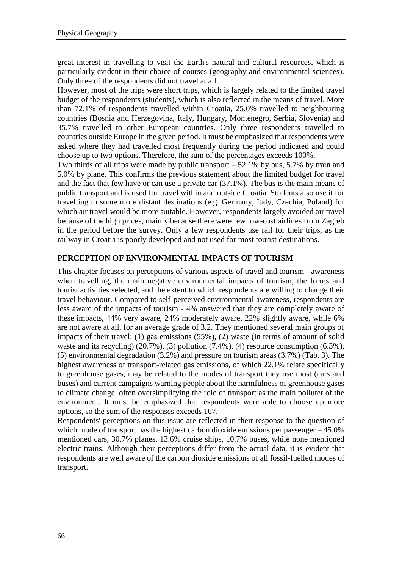great interest in travelling to visit the Earth's natural and cultural resources, which is particularly evident in their choice of courses (geography and environmental sciences). Only three of the respondents did not travel at all.

However, most of the trips were short trips, which is largely related to the limited travel budget of the respondents (students), which is also reflected in the means of travel. More than 72.1% of respondents travelled within Croatia, 25.0% travelled to neighbouring countries (Bosnia and Herzegovina, Italy, Hungary, Montenegro, Serbia, Slovenia) and 35.7% travelled to other European countries. Only three respondents travelled to countries outside Europe in the given period. It must be emphasized that respondents were asked where they had travelled most frequently during the period indicated and could choose up to two options. Therefore, the sum of the percentages exceeds 100%.

Two thirds of all trips were made by public transport – 52.1% by bus, 5.7% by train and 5.0% by plane. This confirms the previous statement about the limited budget for travel and the fact that few have or can use a private car (37.1%). The bus is the main means of public transport and is used for travel within and outside Croatia. Students also use it for travelling to some more distant destinations (e.g. Germany, Italy, Czechia, Poland) for which air travel would be more suitable. However, respondents largely avoided air travel because of the high prices, mainly because there were few low-cost airlines from Zagreb in the period before the survey. Only a few respondents use rail for their trips, as the railway in Croatia is poorly developed and not used for most tourist destinations.

# **PERCEPTION OF ENVIRONMENTAL IMPACTS OF TOURISM**

This chapter focuses on perceptions of various aspects of travel and tourism - awareness when travelling, the main negative environmental impacts of tourism, the forms and tourist activities selected, and the extent to which respondents are willing to change their travel behaviour. Compared to self-perceived environmental awareness, respondents are less aware of the impacts of tourism - 4% answered that they are completely aware of these impacts, 44% very aware, 24% moderately aware, 22% slightly aware, while 6% are not aware at all, for an average grade of 3.2. They mentioned several main groups of impacts of their travel: (1) gas emissions (55%), (2) waste (in terms of amount of solid waste and its recycling) (20.7%), (3) pollution (7.4%), (4) resource consumption (6.3%), (5) environmental degradation (3.2%) and pressure on tourism areas (3.7%) (Tab. 3). The highest awareness of transport-related gas emissions, of which 22.1% relate specifically to greenhouse gases, may be related to the modes of transport they use most (cars and buses) and current campaigns warning people about the harmfulness of greenhouse gases to climate change, often oversimplifying the role of transport as the main polluter of the environment. It must be emphasized that respondents were able to choose up more options, so the sum of the responses exceeds 167.

Respondents' perceptions on this issue are reflected in their response to the question of which mode of transport has the highest carbon dioxide emissions per passenger – 45.0% mentioned cars, 30.7% planes, 13.6% cruise ships, 10.7% buses, while none mentioned electric trains. Although their perceptions differ from the actual data, it is evident that respondents are well aware of the carbon dioxide emissions of all fossil-fuelled modes of transport.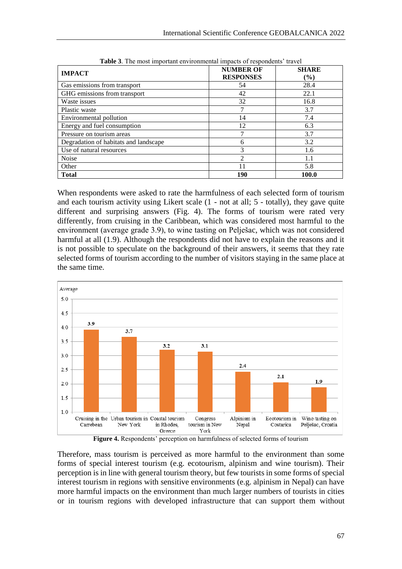| <b>IMPACT</b>                         | <b>NUMBER OF</b><br><b>RESPONSES</b> | <b>SHARE</b><br>$(\%)$ |
|---------------------------------------|--------------------------------------|------------------------|
| Gas emissions from transport          | 54                                   | 28.4                   |
| GHG emissions from transport          | 42                                   | 22.1                   |
| Waste issues                          | 32                                   | 16.8                   |
| Plastic waste                         |                                      | 3.7                    |
| Environmental pollution               | 14                                   | 7.4                    |
| Energy and fuel consumption           | 12                                   | 6.3                    |
| Pressure on tourism areas             | 7                                    | 3.7                    |
| Degradation of habitats and landscape | 6                                    | 3.2                    |
| Use of natural resources              | 3                                    | 1.6                    |
| Noise                                 | $\mathfrak{D}$                       | 1.1                    |
| Other                                 | 11                                   | 5.8                    |
| <b>Total</b>                          | 190                                  | 100.0                  |

**Table 3**. The most important environmental impacts of respondents' travel

When respondents were asked to rate the harmfulness of each selected form of tourism and each tourism activity using Likert scale (1 - not at all; 5 - totally), they gave quite different and surprising answers (Fig. 4). The forms of tourism were rated very differently, from cruising in the Caribbean, which was considered most harmful to the environment (average grade 3.9), to wine tasting on Pelješac, which was not considered harmful at all (1.9). Although the respondents did not have to explain the reasons and it is not possible to speculate on the background of their answers, it seems that they rate selected forms of tourism according to the number of visitors staying in the same place at the same time.



Therefore, mass tourism is perceived as more harmful to the environment than some forms of special interest tourism (e.g. ecotourism, alpinism and wine tourism). Their perception is in line with general tourism theory, but few tourists in some forms of special interest tourism in regions with sensitive environments (e.g. alpinism in Nepal) can have more harmful impacts on the environment than much larger numbers of tourists in cities or in tourism regions with developed infrastructure that can support them without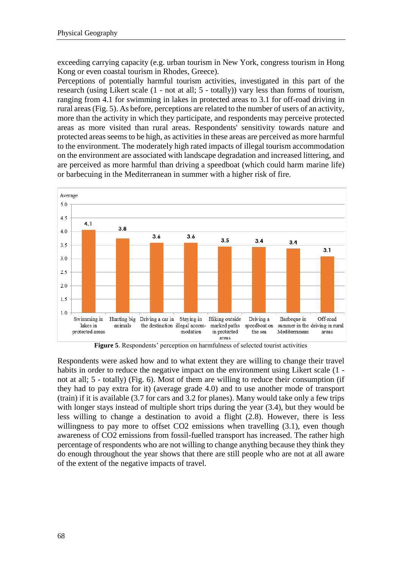exceeding carrying capacity (e.g. urban tourism in New York, congress tourism in Hong Kong or even coastal tourism in Rhodes, Greece).

Perceptions of potentially harmful tourism activities, investigated in this part of the research (using Likert scale (1 - not at all; 5 - totally)) vary less than forms of tourism, ranging from 4.1 for swimming in lakes in protected areas to 3.1 for off-road driving in rural areas (Fig. 5). As before, perceptions are related to the number of users of an activity, more than the activity in which they participate, and respondents may perceive protected areas as more visited than rural areas. Respondents' sensitivity towards nature and protected areas seems to be high, as activities in these areas are perceived as more harmful to the environment. The moderately high rated impacts of illegal tourism accommodation on the environment are associated with landscape degradation and increased littering, and are perceived as more harmful than driving a speedboat (which could harm marine life) or barbecuing in the Mediterranean in summer with a higher risk of fire.



**Figure 5**. Respondents' perception on harmfulness of selected tourist activities

Respondents were asked how and to what extent they are willing to change their travel habits in order to reduce the negative impact on the environment using Likert scale  $(1$ not at all; 5 - totally) (Fig. 6). Most of them are willing to reduce their consumption (if they had to pay extra for it) (average grade 4.0) and to use another mode of transport (train) if it is available (3.7 for cars and 3.2 for planes). Many would take only a few trips with longer stays instead of multiple short trips during the year (3.4), but they would be less willing to change a destination to avoid a flight (2.8). However, there is less willingness to pay more to offset CO2 emissions when travelling (3.1), even though awareness of CO2 emissions from fossil-fuelled transport has increased. The rather high percentage of respondents who are not willing to change anything because they think they do enough throughout the year shows that there are still people who are not at all aware of the extent of the negative impacts of travel.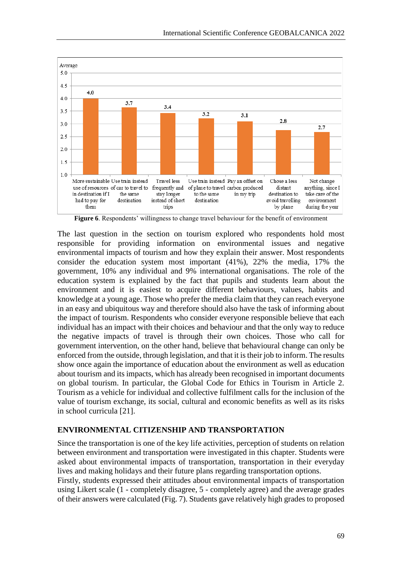

**Figure 6**. Respondents' willingness to change travel behaviour for the benefit of environment

The last question in the section on tourism explored who respondents hold most responsible for providing information on environmental issues and negative environmental impacts of tourism and how they explain their answer. Most respondents consider the education system most important (41%), 22% the media, 17% the government, 10% any individual and 9% international organisations. The role of the education system is explained by the fact that pupils and students learn about the environment and it is easiest to acquire different behaviours, values, habits and knowledge at a young age. Those who prefer the media claim that they can reach everyone in an easy and ubiquitous way and therefore should also have the task of informing about the impact of tourism. Respondents who consider everyone responsible believe that each individual has an impact with their choices and behaviour and that the only way to reduce the negative impacts of travel is through their own choices. Those who call for government intervention, on the other hand, believe that behavioural change can only be enforced from the outside, through legislation, and that it is their job to inform. The results show once again the importance of education about the environment as well as education about tourism and its impacts, which has already been recognised in important documents on global tourism. In particular, the Global Code for Ethics in Tourism in Article 2. Tourism as a vehicle for individual and collective fulfilment calls for the inclusion of the value of tourism exchange, its social, cultural and economic benefits as well as its risks in school curricula [21].

#### **ENVIRONMENTAL CITIZENSHIP AND TRANSPORTATION**

Since the transportation is one of the key life activities, perception of students on relation between environment and transportation were investigated in this chapter. Students were asked about environmental impacts of transportation, transportation in their everyday lives and making holidays and their future plans regarding transportation options.

Firstly, students expressed their attitudes about environmental impacts of transportation using Likert scale (1 - completely disagree, 5 - completely agree) and the average grades of their answers were calculated (Fig. 7). Students gave relatively high grades to proposed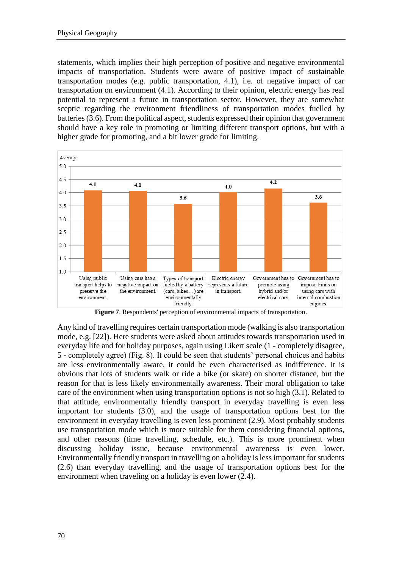statements, which implies their high perception of positive and negative environmental impacts of transportation. Students were aware of positive impact of sustainable transportation modes (e.g. public transportation, 4.1), i.e. of negative impact of car transportation on environment (4.1). According to their opinion, electric energy has real potential to represent a future in transportation sector. However, they are somewhat sceptic regarding the environment friendliness of transportation modes fuelled by batteries (3.6). From the political aspect, students expressed their opinion that government should have a key role in promoting or limiting different transport options, but with a higher grade for promoting, and a bit lower grade for limiting.



**Figure 7**. Respondents' perception of environmental impacts of transportation.

Any kind of travelling requires certain transportation mode (walking is also transportation mode, e.g. [22]). Here students were asked about attitudes towards transportation used in everyday life and for holiday purposes, again using Likert scale (1 - completely disagree, 5 - completely agree) (Fig. 8). It could be seen that students' personal choices and habits are less environmentally aware, it could be even characterised as indifference. It is obvious that lots of students walk or ride a bike (or skate) on shorter distance, but the reason for that is less likely environmentally awareness. Their moral obligation to take care of the environment when using transportation options is not so high (3.1). Related to that attitude, environmentally friendly transport in everyday travelling is even less important for students (3.0), and the usage of transportation options best for the environment in everyday travelling is even less prominent (2.9). Most probably students use transportation mode which is more suitable for them considering financial options, and other reasons (time travelling, schedule, etc.). This is more prominent when discussing holiday issue, because environmental awareness is even lower. Environmentally friendly transport in travelling on a holiday is less important for students (2.6) than everyday travelling, and the usage of transportation options best for the environment when traveling on a holiday is even lower (2.4).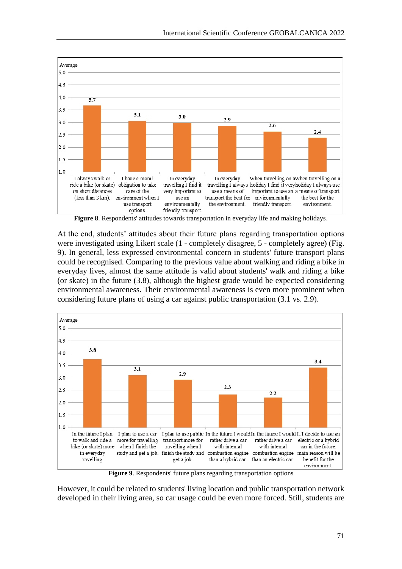

**Figure 8**. Respondents' attitudes towards transportation in everyday life and making holidays.

At the end, students' attitudes about their future plans regarding transportation options were investigated using Likert scale (1 - completely disagree, 5 - completely agree) (Fig. 9). In general, less expressed environmental concern in students' future transport plans could be recognised. Comparing to the previous value about walking and riding a bike in everyday lives, almost the same attitude is valid about students' walk and riding a bike (or skate) in the future (3.8), although the highest grade would be expected considering environmental awareness. Their environmental awareness is even more prominent when considering future plans of using a car against public transportation (3.1 vs. 2.9).



**Figure 9**. Respondents' future plans regarding transportation options

However, it could be related to students' living location and public transportation network developed in their living area, so car usage could be even more forced. Still, students are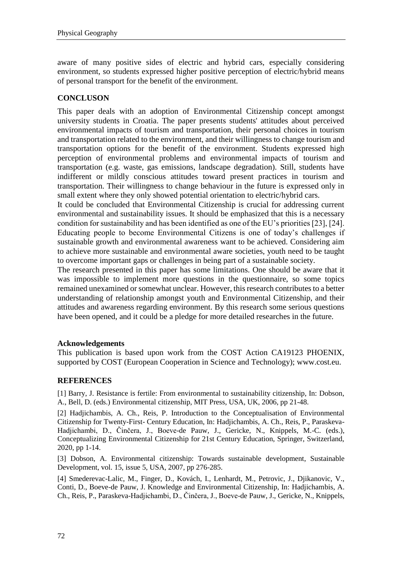aware of many positive sides of electric and hybrid cars, especially considering environment, so students expressed higher positive perception of electric/hybrid means of personal transport for the benefit of the environment.

# **CONCLUSON**

This paper deals with an adoption of Environmental Citizenship concept amongst university students in Croatia. The paper presents students' attitudes about perceived environmental impacts of tourism and transportation, their personal choices in tourism and transportation related to the environment, and their willingness to change tourism and transportation options for the benefit of the environment. Students expressed high perception of environmental problems and environmental impacts of tourism and transportation (e.g. waste, gas emissions, landscape degradation). Still, students have indifferent or mildly conscious attitudes toward present practices in tourism and transportation. Their willingness to change behaviour in the future is expressed only in small extent where they only showed potential orientation to electric/hybrid cars.

It could be concluded that Environmental Citizenship is crucial for addressing current environmental and sustainability issues. It should be emphasized that this is a necessary condition for sustainability and has been identified as one of the EU's priorities [23], [24]. Educating people to become Environmental Citizens is one of today's challenges if sustainable growth and environmental awareness want to be achieved. Considering aim to achieve more sustainable and environmental aware societies, youth need to be taught to overcome important gaps or challenges in being part of a sustainable society.

The research presented in this paper has some limitations. One should be aware that it was impossible to implement more questions in the questionnaire, so some topics remained unexamined or somewhat unclear. However, this research contributes to a better understanding of relationship amongst youth and Environmental Citizenship, and their attitudes and awareness regarding environment. By this research some serious questions have been opened, and it could be a pledge for more detailed researches in the future.

#### **Acknowledgements**

This publication is based upon work from the COST Action CA19123 PHOENIX, supported by COST (European Cooperation in Science and Technology); www.cost.eu.

#### **REFERENCES**

[1] Barry, J. Resistance is fertile: From environmental to sustainability citizenship, In: Dobson, A., Bell, D. (eds.) Environmental citizenship, MIT Press, USA, UK, 2006, pp 21-48.

[2] Hadjichambis, A. Ch., Reis, P. Introduction to the Conceptualisation of Environmental Citizenship for Twenty-First- Century Education, In: Hadjichambis, A. Ch., Reis, P., Paraskeva-Hadjichambi, D., Činčera, J., Boeve-de Pauw, J., Gericke, N., Knippels, M.-C. (eds.), Conceptualizing Environmental Citizenship for 21st Century Education, Springer, Switzerland, 2020, pp 1-14.

[3] Dobson, A. Environmental citizenship: Towards sustainable development, Sustainable Development, vol. 15, issue 5, USA, 2007, pp 276-285.

[4] Smederevac-Lalic, M., Finger, D., Kovách, I., Lenhardt, M., Petrovic, J., Djikanovic, V., Conti, D., Boeve-de Pauw, J. Knowledge and Environmental Citizenship, In: Hadjichambis, A. Ch., Reis, P., Paraskeva-Hadjichambi, D., Činčera, J., Boeve-de Pauw, J., Gericke, N., Knippels,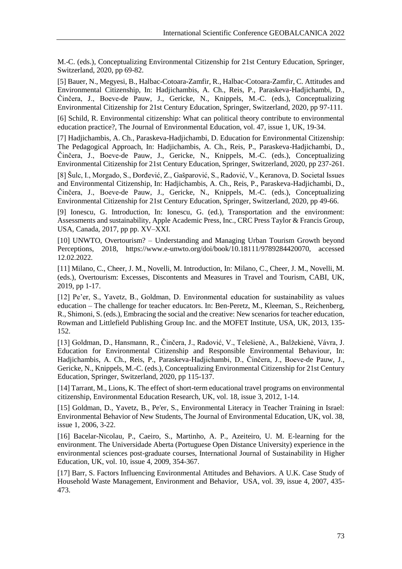M.-C. (eds.), Conceptualizing Environmental Citizenship for 21st Century Education, Springer, Switzerland, 2020, pp 69-82.

[5] Bauer, N., Megyesi, B., Halbac-Cotoara-Zamfir, R., Halbac-Cotoara-Zamfir, C. Attitudes and Environmental Citizenship, In: Hadjichambis, A. Ch., Reis, P., Paraskeva-Hadjichambi, D., Činčera, J., Boeve-de Pauw, J., Gericke, N., Knippels, M.-C. (eds.), Conceptualizing Environmental Citizenship for 21st Century Education, Springer, Switzerland, 2020, pp 97-111.

[6] Schild, R. Environmental citizenship: What can political theory contribute to environmental education practice?, The Journal of Environmental Education, vol. 47, issue 1, UK, 19-34.

[7] Hadjichambis, A. Ch., Paraskeva-Hadjichambi, D. Education for Environmental Citizenship: The Pedagogical Approach, In: Hadjichambis, A. Ch., Reis, P., Paraskeva-Hadjichambi, D., Činčera, J., Boeve-de Pauw, J., Gericke, N., Knippels, M.-C. (eds.), Conceptualizing Environmental Citizenship for 21st Century Education, Springer, Switzerland, 2020, pp 237-261.

[8] Šulc, I., Morgado, S., Đorđević, Z., Gašparović, S., Radović, V., Keranova, D. Societal Issues and Environmental Citizenship, In: Hadjichambis, A. Ch., Reis, P., Paraskeva-Hadjichambi, D., Činčera, J., Boeve-de Pauw, J., Gericke, N., Knippels, M.-C. (eds.), Conceptualizing Environmental Citizenship for 21st Century Education, Springer, Switzerland, 2020, pp 49-66.

[9] Ionescu, G. Introduction, In: Ionescu, G. (ed.), Transportation and the environment: Assessments and sustainability, Apple Academic Press, Inc., CRC Press Taylor & Francis Group, USA, Canada, 2017, pp pp. XV–XXI.

[10] UNWTO, Overtourism? – Understanding and Managing Urban Tourism Growth beyond Perceptions, 2018, https://www.e-unwto.org/doi/book/10.18111/9789284420070, accessed 12.02.2022.

[11] Milano, C., Cheer, J. M., Novelli, M. Introduction, In: Milano, C., Cheer, J. M., Novelli, M. (eds.), Overtourism: Excesses, Discontents and Measures in Travel and Tourism, CABI, UK, 2019, pp 1-17.

[12] Pe'er, S., Yavetz, B., Goldman, D. Environmental education for sustainability as values education – The challenge for teacher educators. In: Ben-Peretz, M., Kleeman, S., Reichenberg, R., Shimoni, S. (eds.), Embracing the social and the creative: New scenarios for teacher education, Rowman and Littlefield Publishing Group Inc. and the MOFET Institute, USA, UK, 2013, 135- 152.

[13] Goldman, D., Hansmann, R., Činčera, J., Radović, V., Telešienė, A., Balžekienė, Vávra, J. Education for Environmental Citizenship and Responsible Environmental Behaviour, In: Hadjichambis, A. Ch., Reis, P., Paraskeva-Hadjichambi, D., Činčera, J., Boeve-de Pauw, J., Gericke, N., Knippels, M.-C. (eds.), Conceptualizing Environmental Citizenship for 21st Century Education, Springer, Switzerland, 2020, pp 115-137.

[14] Tarrant, M., Lions, K. The effect of short-term educational travel programs on environmental citizenship, Environmental Education Research, UK, vol. 18, issue 3, 2012, 1-14.

[15] Goldman, D., Yavetz, B., Pe'er, S., Environmental Literacy in Teacher Training in Israel: Environmental Behavior of New Students, The Journal of Environmental Education, UK, vol. 38, issue 1, 2006, 3-22.

[16] Bacelar-Nicolau, P., Caeiro, S., Martinho, A. P., Azeiteiro, U. M. E-learning for the environment. The Universidade Aberta (Portuguese Open Distance University) experience in the environmental sciences post-graduate courses, International Journal of Sustainability in Higher Education, UK, vol. 10, issue 4, 2009, 354-367.

[17] Barr, S. Factors Influencing Environmental Attitudes and Behaviors. A U.K. Case Study of Household Waste Management, Environment and Behavior, USA, vol. 39, issue 4, 2007, 435- 473.